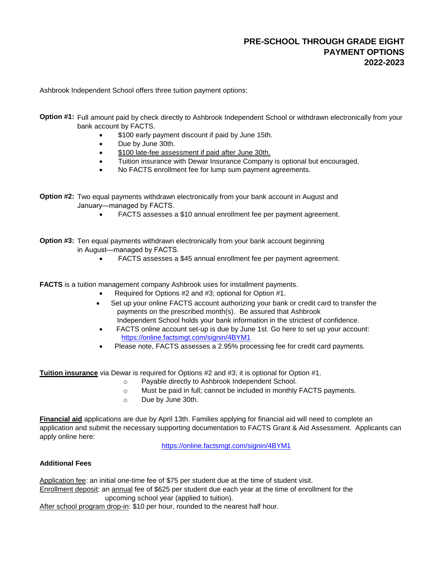Ashbrook Independent School offers three tuition payment options:

**Option #1:** Full amount paid by check directly to Ashbrook Independent School or withdrawn electronically from your bank account by FACTS.

- \$100 early payment discount if paid by June 15th.
- Due by June 30th.
- \$100 late-fee assessment if paid after June 30th.
- Tuition insurance with Dewar Insurance Company is optional but encouraged.
- No FACTS enrollment fee for lump sum payment agreements.

**Option #2:** Two equal payments withdrawn electronically from your bank account in August and January—managed by FACTS.

FACTS assesses a \$10 annual enrollment fee per payment agreement.

**Option #3:** Ten equal payments withdrawn electronically from your bank account beginning in August—managed by FACTS.

FACTS assesses a \$45 annual enrollment fee per payment agreement.

**FACTS** is a tuition management company Ashbrook uses for installment payments.

- Required for Options #2 and #3; optional for Option #1.
- Set up your online FACTS account authorizing your bank or credit card to transfer the payments on the prescribed month(s). Be assured that Ashbrook Independent School holds your bank information in the strictest of confidence.
- FACTS online account set-up is due by June 1st. Go here to set up your account: [https://online.factsmgt.com/signin/4BYM1](https://online.factsmgt.com/signin/4BYM1#)
- Please note, FACTS assesses a 2.95% processing fee for credit card payments.

**Tuition insurance** via Dewar is required for Options #2 and #3; it is optional for Option #1.

- o Payable directly to Ashbrook Independent School.
- $\circ$  Must be paid in full; cannot be included in monthly FACTS payments.
- o Due by June 30th.

**Financial aid** applications are due by April 13th. Families applying for financial aid will need to complete an application and submit the necessary supporting documentation to FACTS Grant & Aid Assessment. Applicants can apply online here:

[https://o](https://online.factsmgt.com/signin/4BYM1#)nline.factsmgt.com/signin/4BYM1

## **Additional Fees**

Application fee: an initial one-time fee of \$75 per student due at the time of student visit.

Enrollment deposit: an annual fee of \$625 per student due each year at the time of enrollment for the upcoming school year (applied to tuition).

After school program drop-in: \$10 per hour, rounded to the nearest half hour.